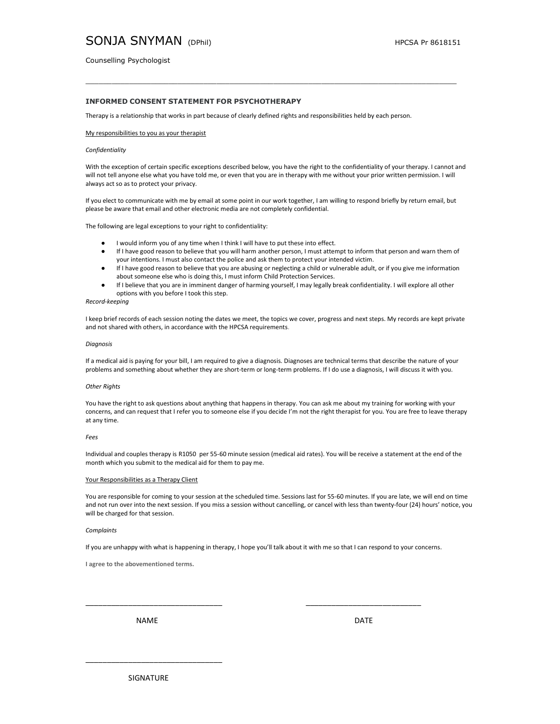# SONJA SNYMAN (DPhil) HPCSA Pr 8618151

Counselling Psychologist

# INFORMED CONSENT STATEMENT FOR PSYCHOTHERAPY

Therapy is a relationship that works in part because of clearly defined rights and responsibilities held by each person.

### My responsibilities to you as your therapist

## **Confidentiality**

With the exception of certain specific exceptions described below, you have the right to the confidentiality of your therapy. I cannot and will not tell anyone else what you have told me, or even that you are in therapy with me without your prior written permission. I will always act so as to protect your privacy.

If you elect to communicate with me by email at some point in our work together, I am willing to respond briefly by return email, but please be aware that email and other electronic media are not completely confidential.

The following are legal exceptions to your right to confidentiality:

- I would inform you of any time when I think I will have to put these into effect.
- If I have good reason to believe that you will harm another person, I must attempt to inform that person and warn them of your intentions. I must also contact the police and ask them to protect your intended victim.
- If I have good reason to believe that you are abusing or neglecting a child or vulnerable adult, or if you give me information about someone else who is doing this, I must inform Child Protection Services.
- If I believe that you are in imminent danger of harming yourself, I may legally break confidentiality. I will explore all other options with you before I took this step.

## Record-keeping

I keep brief records of each session noting the dates we meet, the topics we cover, progress and next steps. My records are kept private and not shared with others, in accordance with the HPCSA requirements.

#### Diagnosis

If a medical aid is paying for your bill, I am required to give a diagnosis. Diagnoses are technical terms that describe the nature of your problems and something about whether they are short-term or long-term problems. If I do use a diagnosis, I will discuss it with you.

## Other Rights

You have the right to ask questions about anything that happens in therapy. You can ask me about my training for working with your concerns, and can request that I refer you to someone else if you decide I'm not the right therapist for you. You are free to leave therapy at any time.

## Fees

Individual and couples therapy is R1050 per 55-60 minute session (medical aid rates). You will be receive a statement at the end of the month which you submit to the medical aid for them to pay me.

### Your Responsibilities as a Therapy Client

You are responsible for coming to your session at the scheduled time. Sessions last for 55-60 minutes. If you are late, we will end on time and not run over into the next session. If you miss a session without cancelling, or cancel with less than twenty-four (24) hours' notice, you will be charged for that session.

#### **Complaints**

If you are unhappy with what is happening in therapy, I hope you'll talk about it with me so that I can respond to your concerns.

\_\_\_\_\_\_\_\_\_\_\_\_\_\_\_\_\_\_\_\_\_\_\_\_\_\_\_\_\_\_\_\_ \_\_\_\_\_\_\_\_\_\_\_\_\_\_\_\_\_\_\_\_\_\_\_\_\_\_\_

I agree to the abovementioned terms.

NAME DATE

SIGNATURE

\_\_\_\_\_\_\_\_\_\_\_\_\_\_\_\_\_\_\_\_\_\_\_\_\_\_\_\_\_\_\_\_